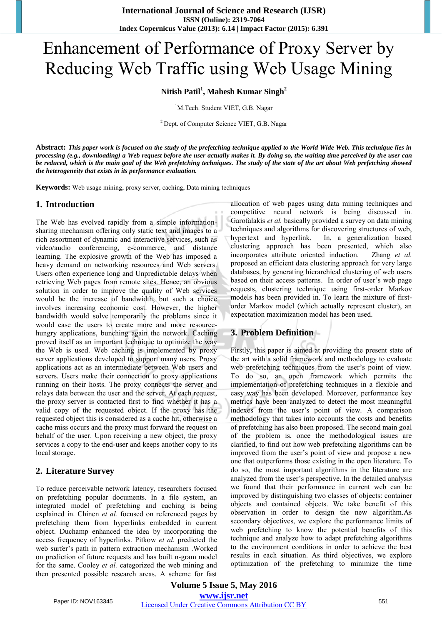# Enhancement of Performance of Proxy Server by Reducing Web Traffic using Web Usage Mining

# **Nitish Patil<sup>1</sup> , Mahesh Kumar Singh<sup>2</sup>**

<sup>1</sup>M.Tech. Student VIET, G.B. Nagar

 $2$  Dept. of Computer Science VIET, G.B. Nagar

**Abstract:** *This paper work is focused on the study of the prefetching technique applied to the World Wide Web. This technique lies in processing (e.g., downloading) a Web request before the user actually makes it. By doing so, the waiting time perceived by the user can be reduced, which is the main goal of the Web prefetching techniques. The study of the state of the art about Web prefetching showed the heterogeneity that exists in its performance evaluation.* 

**Keywords:** Web usage mining, proxy server, caching, Data mining techniques

#### **1. Introduction**

The Web has evolved rapidly from a simple informationsharing mechanism offering only static text and images to a rich assortment of dynamic and interactive services, such as video/audio conferencing, e-commerce, and distance learning. The explosive growth of the Web has imposed a heavy demand on networking resources and Web servers. Users often experience long and Unpredictable delays when retrieving Web pages from remote sites. Hence, an obvious solution in order to improve the quality of Web services would be the increase of bandwidth, but such a choice involves increasing economic cost. However, the higher bandwidth would solve temporarily the problems since it would ease the users to create more and more resourcehungry applications, bunching again the network. Caching proved itself as an important technique to optimize the way the Web is used. Web caching is implemented by proxy server applications developed to support many users. Proxy applications act as an intermediate between Web users and servers. Users make their connection to proxy applications running on their hosts. The proxy connects the server and relays data between the user and the server. At each request, the proxy server is contacted first to find whether it has a valid copy of the requested object. If the proxy has the requested object this is considered as a cache hit, otherwise a cache miss occurs and the proxy must forward the request on behalf of the user. Upon receiving a new object, the proxy services a copy to the end-user and keeps another copy to its local storage.

#### **2. Literature Survey**

To reduce perceivable network latency, researchers focused on prefetching popular documents. In a file system, an integrated model of prefetching and caching is being explained in. Chinen *et al.* focused on referenced pages by prefetching them from hyperlinks embedded in current object. Duchamp enhanced the idea by incorporating the access frequency of hyperlinks. Pitkow *et al.* predicted the web surfer's path in pattern extraction mechanism .Worked on prediction of future requests and has built n-gram model for the same. Cooley *et al.* categorized the web mining and then presented possible research areas. A scheme for fast

allocation of web pages using data mining techniques and competitive neural network is being discussed in. Garofalakis *et al.* basically provided a survey on data mining techniques and algorithms for discovering structures of web, hypertext and hyperlink. In, a generalization based clustering approach has been presented, which also incorporates attribute oriented induction. Zhang *et al.*  proposed an efficient data clustering approach for very large databases, by generating hierarchical clustering of web users based on their access patterns. In order of user's web page requests, clustering technique using first-order Markov models has been provided in. To learn the mixture of firstorder Markov model (which actually represent cluster), an expectation maximization model has been used.

### **3. Problem Definition**

Firstly, this paper is aimed at providing the present state of the art with a solid framework and methodology to evaluate web prefetching techniques from the user's point of view. To do so, an open framework which permits the implementation of prefetching techniques in a flexible and easy way has been developed. Moreover, performance key metrics have been analyzed to detect the most meaningful indexes from the user's point of view. A comparison methodology that takes into accounts the costs and benefits of prefetching has also been proposed. The second main goal of the problem is, once the methodological issues are clarified, to find out how web prefetching algorithms can be improved from the user's point of view and propose a new one that outperforms those existing in the open literature. To do so, the most important algorithms in the literature are analyzed from the user's perspective. In the detailed analysis we found that their performance in current web can be improved by distinguishing two classes of objects: container objects and contained objects. We take benefit of this observation in order to design the new algorithm.As secondary objectives, we explore the performance limits of web prefetching to know the potential benefits of this technique and analyze how to adapt prefetching algorithms to the environment conditions in order to achieve the best results in each situation. As third objectives, we explore optimization of the prefetching to minimize the time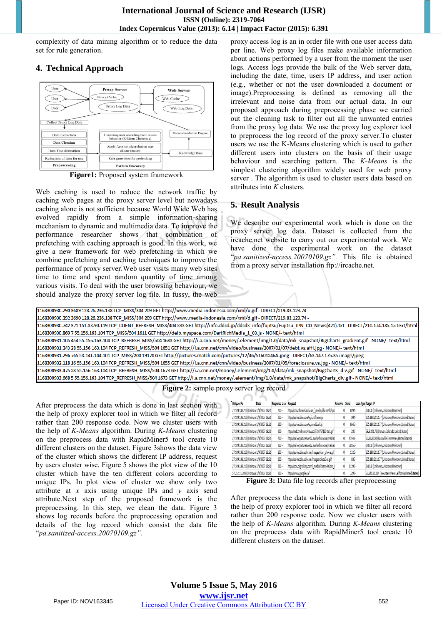complexity of data mining algorithm or to reduce the data set for rule generation.

# **4. Technical Approach**



**Figure1:** Proposed system framework

Web caching is used to reduce the network traffic by caching web pages at the proxy server level but nowadays caching alone is not sufficient because World Wide Web has evolved rapidly from a simple information-sharing mechanism to dynamic and multimedia data. To improve the performance researcher shows that combination of prefetching with caching approach is good. In this work, we give a new framework for web prefetching in which we combine prefetching and caching techniques to improve the performance of proxy server.Web user visits many web sites time to time and spent random quantity of time among various visits. To deal with the user browsing behaviour, we should analyze the proxy server log file. In fussy, the web

proxy access log is an in order file with one user access data per line. Web proxy log files make available information about actions performed by a user from the moment the user logs. Access logs provide the bulk of the Web server data, including the date, time, users IP address, and user action (e.g., whether or not the user downloaded a document or image).Preprocessing is defined as removing all the irrelevant and noise data from our actual data. In our proposed approach during preprocessing phase we carried out the cleaning task to filter out all the unwanted entries from the proxy log data. We use the proxy log explorer tool to preprocess the log record of the proxy server.To cluster users we use the K-Means clustering which is used to gather different users into clusters on the basis of their usage behaviour and searching pattern. The *K-Means* is the simplest clustering algorithm widely used for web proxy server . The algorithm is used to cluster users data based on attributes into *K* clusters.

## **5. Result Analysis**

We describe our experimental work which is done on the proxy server log data. Dataset is collected from the ircache.net website to carry out our experimental work. We have done the experimental work on the dataset "*pa.sanitized-access.20070109.gz".* This file is obtained from a proxy server installation ftp://ircache.net.

1168300930.290 3689 128.26.236.138 TCP MISS/304 209 GET http://www.media-indonesia.com/xml/u.gif - DIRECT/219.83.123.74 1168300930.292 3690 128.26.236.138 TCP\_MISS/304 209 GET http://www.media-indonesia.com/xml/d.gif - DIRECT/219.83.123.74 -1168300930.742 371 151.33.90.119 TCP CLIENT REFRESH MISS/404 333 GET http://info.ddcd.jp/ddcd3 info/fujitsu/Fujitsu JPN CD News(421).txt - DIRECT/210.174.185.15 text/html 1168300930.860 7 55.156.163.104 TCP\_MISS/504 1611 GET http://delb.myspace.com/DartRichMedia\_1\_03.js - NONE/-text/html 1168300931.105 454 55.156.163.104 TCP REFRESH MISS/504 1683 GET http://i.a.cnn.net/money/.element/img/1.0/data/mk snapshot/BigCharts gradient.gif - NONE/- text/html 1168300931.243 28 55.156.163.104 TCP\_REFRESH\_MISS/504 1651 GET http://i.a.cnn.net/cnn/video/business/2007/01/07/debt.vs.affl.jpg - NONE/- text/html 1168300931.296 765 53.141.144.101 TCP\_MISS/200 19170 GET http://pictures.match.com/pictures/12/46/51601246A.jpeg - DIRECT/63.147.175.35 image/jpeg 1168300932.118 16 55.156.163.104 TCP REFRESH MISS/504 1655 GET http://i.a.cnn.net/cnn/video/business/2007/01/05/foreclosure.vs.jpg - NONE/- text/html 1168300933.475 28 55.156.163.104 TCP\_REFRESH\_MISS/504 1673 GET http://i.a.cnn.net/money/.element/img/1.0/data/mk\_snapshot/BigCharts\_div.gif - NONE/-text/html 1168300933.668 5 55.156.163.104 TCP\_REFRESH\_MISS/504 1673 GET http://i.a.cnn.net/money/.element/img/1.0/data/mk\_snapshot/BigCharts\_div.gif - NONE/- text/html

**Figure 2:** sample proxy server log record

After preprocess the data which is done in last section with the help of proxy explorer tool in which we filter all record rather than 200 response code. Now we cluster users with the help of *K-Means* algorithm. During *K-Means* clustering on the preprocess data with RapidMiner5 tool create 10 different clusters on the dataset. Figure 3shows the data view of the cluster which shows the different IP address, request by users cluster wise. Figure 5 shows the plot view of the 10 cluster which have the ten different colors according to unique IPs. In plot view of cluster we show only two attribute at *x* axis using unique IPs and *y* axis send attribute.Next step of the proposed framework is the preprocessing. In this step, we clean the data. Figure 3 shows log records before the preprocessing operation and details of the log record which consist the data file "*pa.sanitized-access.20070109.gz".*

| <b>Unique Ps</b>                       | Date | Response User Request |                                                 | Receive Send |           | <b>User Agen Target IP</b>                             |
|----------------------------------------|------|-----------------------|-------------------------------------------------|--------------|-----------|--------------------------------------------------------|
| 27.109.138.213 (Unknow 1/9/2007 18:21) |      | $200 -$               | http://cdn.channel.aol.com/ media/channels/spc  |              | $8094 -$  | 0.0.0.0 (Unknown,Unknown,Unknown)                      |
| 27.109.138.213 (Unknow 1/9/2007 18:21) |      | $200 -$               | http://aolmobile.com/js/s2clframe.js            |              | 504.      | 205.188.211.177 (Unknown, Unknown, United States)      |
| 27.109.138.213 (Unknow 1/9/2007 18:21) |      | $200 -$               | http://aolmobile.com/js/send2cell.js            |              | 6946 -    | 205.188.211.177 (Unknown, Unknown, United States)      |
| 27.109.138.213 (Unknow 1/9/2007 18:21) |      | $200 -$               | http://m1.2mdn.net/viewad/771075/120-1x1.eif    |              | $280 -$   | 69.8.201.72 (Denver, Colorado, United States)          |
| 27.109.138.213 (Unknow 1/9/2007 18:21) |      | $200 -$               | http://miborpicturesweb2.marketlinx.com/mediac  |              | 43949 -   | 65.83.83.91 (Knoxville, Tennessee, United States)      |
| 27.109.138.213 (Unknow 1/9/2007 18:21) |      | $200 -$               | http://miborpicturesweb2.marketlinx.com/mediac  |              | 30556 -   | 0.0.0.0 (Unknown,Unknown,Unknown)                      |
| 27.109.138.213 (Unknow 1/9/2007 18:21) |      | $200 -$               | http://aolmobile.aol.com/images/icon_phone.gif  |              | $1326 -$  | 205.188.211.177 (Unknown, Unknown, United States)      |
| 27.109.138.213 (Unknow 1/9/2007 18:21) |      | $200 -$               | http://aolmobile.aol.com/images/closeBox.gif    |              | 686-      | 205.188.211.177 (Unknown, Unknown, United States)      |
| 27.109.138.213 (Unknow 1/9/2007 18:21) |      | $200 -$               | http://cdn.digitalcity.com/ media/channels/dm c |              | $11390 -$ | 0.0.0.0 (Unknown,Unknown,Unknown)                      |
| 57.25.111.203 (Unknown 1/9/2007 18:21) |      | $200 -$               | http://www.google.ca/                           |              | $3299 -$  | 66.249.89.104 (Mountain View,California,United States) |

**Figure 3:** Data file log records after preprocessing

After preprocess the data which is done in last section with the help of proxy explorer tool in which we filter all record rather than 200 response code. Now we cluster users with the help of *K-Means* algorithm. During *K-Means* clustering on the preprocess data with RapidMiner5 tool create 10 different clusters on the dataset.